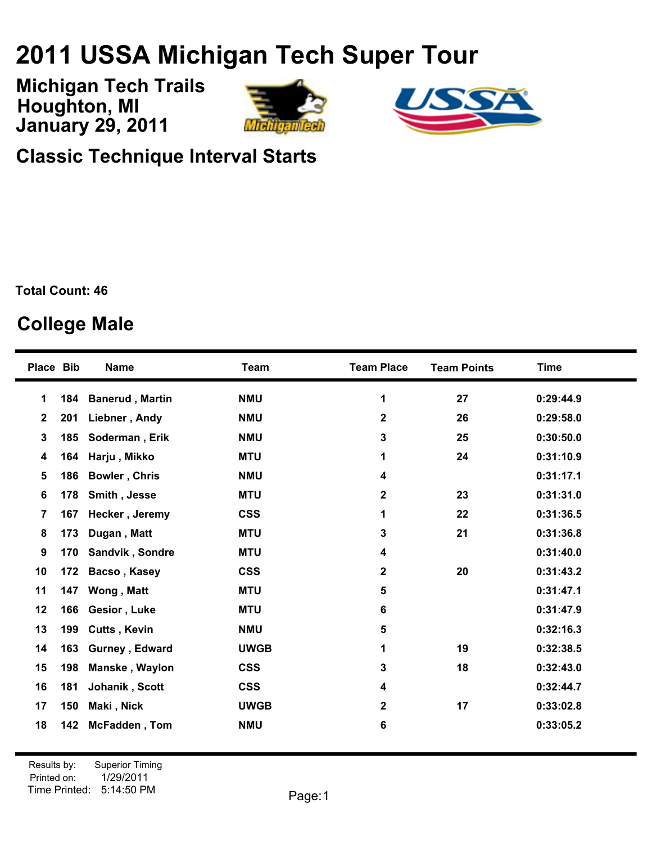## **USSA Michigan Tech Super Tour**

**January 29, 2011 Michigan Tech Trails Houghton, MI**





**Classic Technique Interval Starts**

**Total Count: 46**

## **College Male**

| Place Bib      |     | <b>Name</b>            | <b>Team</b> | <b>Team Place</b> | <b>Team Points</b> | <b>Time</b> |
|----------------|-----|------------------------|-------------|-------------------|--------------------|-------------|
| 1              | 184 | <b>Banerud, Martin</b> | <b>NMU</b>  | 1                 | 27                 | 0:29:44.9   |
| $\mathbf{2}$   | 201 | Liebner, Andy          | <b>NMU</b>  | $\mathbf{2}$      | 26                 | 0:29:58.0   |
| 3              | 185 | Soderman, Erik         | <b>NMU</b>  | 3                 | 25                 | 0:30:50.0   |
| 4              | 164 | Harju, Mikko           | <b>MTU</b>  | 1                 | 24                 | 0:31:10.9   |
| 5              | 186 | <b>Bowler, Chris</b>   | <b>NMU</b>  | 4                 |                    | 0:31:17.1   |
| 6              | 178 | Smith, Jesse           | <b>MTU</b>  | $\mathbf 2$       | 23                 | 0:31:31.0   |
| $\overline{7}$ | 167 | Hecker, Jeremy         | <b>CSS</b>  | 1                 | 22                 | 0:31:36.5   |
| 8              | 173 | Dugan, Matt            | <b>MTU</b>  | 3                 | 21                 | 0:31:36.8   |
| 9              | 170 | Sandvik, Sondre        | <b>MTU</b>  | 4                 |                    | 0:31:40.0   |
| 10             | 172 | Bacso, Kasey           | <b>CSS</b>  | $\mathbf 2$       | 20                 | 0:31:43.2   |
| 11             | 147 | Wong, Matt             | <b>MTU</b>  | 5                 |                    | 0:31:47.1   |
| 12             | 166 | Gesior, Luke           | <b>MTU</b>  | 6                 |                    | 0:31:47.9   |
| 13             | 199 | <b>Cutts, Kevin</b>    | <b>NMU</b>  | 5                 |                    | 0:32:16.3   |
| 14             | 163 | Gurney, Edward         | <b>UWGB</b> | 1                 | 19                 | 0:32:38.5   |
| 15             | 198 | Manske, Waylon         | <b>CSS</b>  | 3                 | 18                 | 0:32:43.0   |
| 16             | 181 | Johanik, Scott         | <b>CSS</b>  | 4                 |                    | 0:32:44.7   |
| 17             | 150 | Maki, Nick             | <b>UWGB</b> | $\mathbf 2$       | 17                 | 0:33:02.8   |
| 18             | 142 | McFadden, Tom          | <b>NMU</b>  | 6                 |                    | 0:33:05.2   |
|                |     |                        |             |                   |                    |             |

Printed on: Time Printed: 5:14:50 PMResults by: Superior Timing 1/29/2011